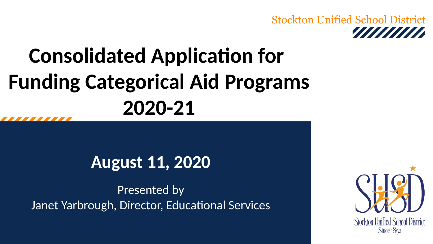#### Stockton Unified School District annan a

## **Consolidated Application for Funding Categorical Aid Programs 2020-21**

### **August 11, 2020**

Presented by Janet Yarbrough, Director, Educational Services

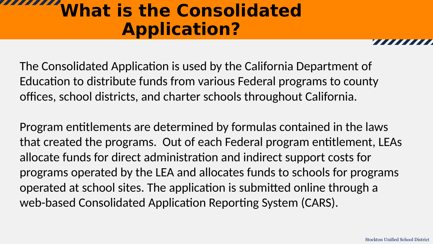### **What is the Consolidated Application?**

The Consolidated Application is used by the California Department of Education to distribute funds from various Federal programs to county offices, school districts, and charter schools throughout California.

Program entitlements are determined by formulas contained in the laws that created the programs. Out of each Federal program entitlement, LEAs allocate funds for direct administration and indirect support costs for programs operated by the LEA and allocates funds to schools for programs operated at school sites. The application is submitted online through a web-based Consolidated Application Reporting System (CARS).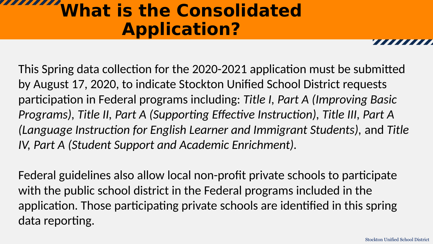### **What is the Consolidated Application?**

This Spring data collection for the 2020-2021 application must be submitted by August 17, 2020, to indicate Stockton Unified School District requests participation in Federal programs including: *Title I, Part A (Improving Basic Programs), Title II, Part A (Supporting Effective Instruction), Title III, Part A (Language Instruction for English Learner and Immigrant Students),* and *Title IV, Part A (Student Support and Academic Enrichment).*

Federal guidelines also allow local non-profit private schools to participate with the public school district in the Federal programs included in the application. Those participating private schools are identified in this spring data reporting.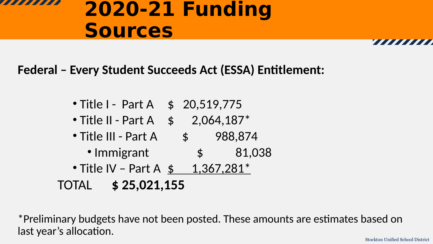### **2020-21 Funding Sources**

**Federal – Every Student Succeeds Act (ESSA) Entitlement:**

- Title I Part A \$ 20,519,775
- Title II Part A  $$ 2,064,187^*$
- Title III Part A  $\quad$  \$ 988,874
	- Immigrant  $\qquad \qquad$  \$ 81,038
- Title IV Part A  $$ 1,367,281$ \* TOTAL **\$ 25,021,155**

\*Preliminary budgets have not been posted. These amounts are estimates based on last year's allocation.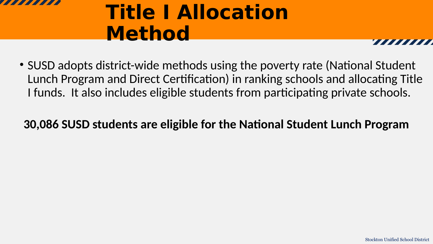

### **Title I Allocation Method**

• SUSD adopts district-wide methods using the poverty rate (National Student Lunch Program and Direct Certification) in ranking schools and allocating Title I funds. It also includes eligible students from participating private schools.

#### **30,086 SUSD students are eligible for the National Student Lunch Program**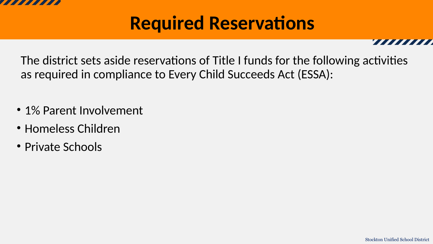

### **Required Reservations**

The district sets aside reservations of Title I funds for the following activities as required in compliance to Every Child Succeeds Act (ESSA):

- 1% Parent Involvement
- Homeless Children
- Private Schools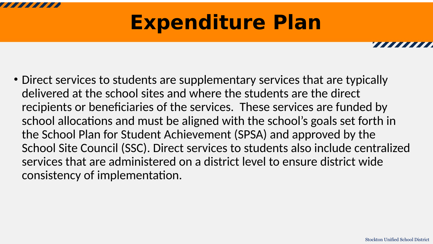## **Expenditure Plan**

• Direct services to students are supplementary services that are typically delivered at the school sites and where the students are the direct recipients or beneficiaries of the services. These services are funded by school allocations and must be aligned with the school's goals set forth in the School Plan for Student Achievement (SPSA) and approved by the School Site Council (SSC). Direct services to students also include centralized services that are administered on a district level to ensure district wide consistency of implementation.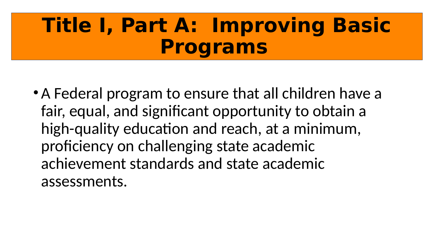### **Title I, Part A: Improving Basic Programs**

• A Federal program to ensure that all children have a fair, equal, and significant opportunity to obtain a high-quality education and reach, at a minimum, proficiency on challenging state academic achievement standards and state academic assessments.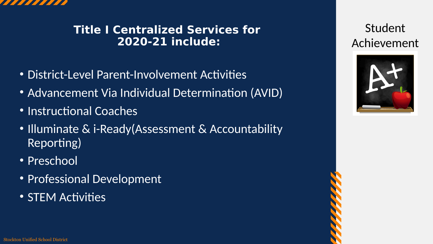

#### **Title I Centralized Services for 2020-21 include:**

- District-Level Parent-Involvement Activities
- Advancement Via Individual Determination (AVID)
- Instructional Coaches
- Illuminate & i-Ready (Assessment & Accountability Reporting)
- Preschool
- Professional Development
- STEM Activities

Student Achievement

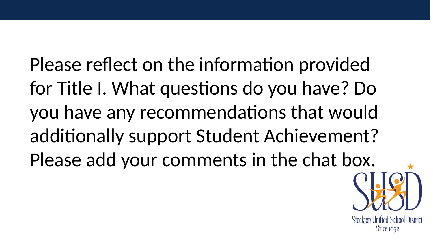Please reflect on the information provided for Title I. What questions do you have? Do you have any recommendations that would additionally support Student Achievement? Please add your comments in the chat box.

> Stockton Unified School District Since 1852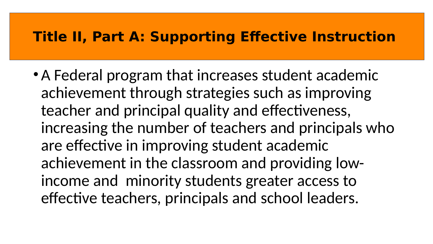### **Title II, Part A: Supporting Effective Instruction**

• A Federal program that increases student academic achievement through strategies such as improving teacher and principal quality and effectiveness, increasing the number of teachers and principals who are effective in improving student academic achievement in the classroom and providing lowincome and minority students greater access to effective teachers, principals and school leaders.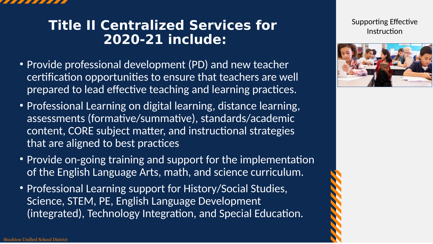

### **Title II Centralized Services for 2020-21 include:**

- Provide professional development (PD) and new teacher certification opportunities to ensure that teachers are well prepared to lead effective teaching and learning practices.
- Professional Learning on digital learning, distance learning, assessments (formative/summative), standards/academic content, CORE subject matter, and instructional strategies that are aligned to best practices
- Provide on-going training and support for the implementation of the English Language Arts, math, and science curriculum.
- Professional Learning support for History/Social Studies, Science, STEM, PE, English Language Development (integrated), Technology Integration, and Special Education.

Supporting Effective Instruction

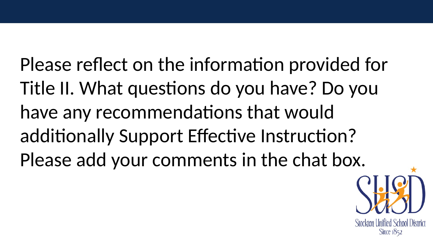Please reflect on the information provided for Title II. What questions do you have? Do you have any recommendations that would additionally Support Effective Instruction? Please add your comments in the chat box.

**Stockton Unified School District** Since  $1852$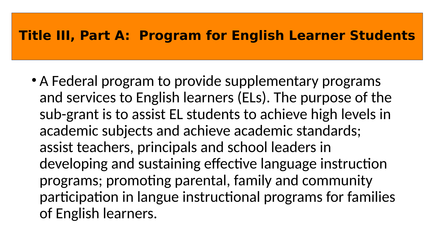#### **Title III, Part A: Program for English Learner Students**

• A Federal program to provide supplementary programs and services to English learners (ELs). The purpose of the sub-grant is to assist EL students to achieve high levels in academic subjects and achieve academic standards; assist teachers, principals and school leaders in developing and sustaining effective language instruction programs; promoting parental, family and community participation in langue instructional programs for families of English learners.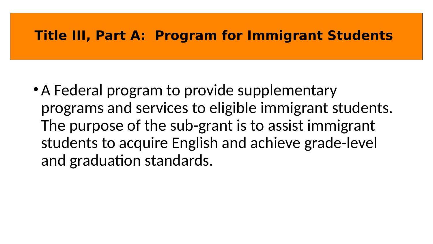#### **Title III, Part A: Program for Immigrant Students**

• A Federal program to provide supplementary programs and services to eligible immigrant students. The purpose of the sub-grant is to assist immigrant students to acquire English and achieve grade-level and graduation standards.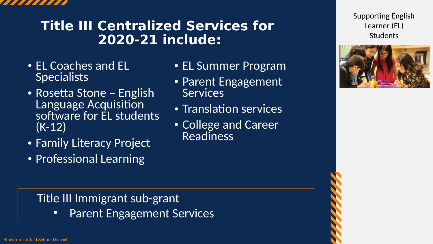

### **Title III Centralized Services for 2020-21 include:**

- EL Coaches and EL **Specialists**
- Rosetta Stone English Language Acquisition software for EL students (K-12)
- Family Literacy Project
- Professional Learning
- EL Summer Program
- Parent Engagement **Services**
- Translation services
- College and Career **Readiness**

Supporting English Learner (EL) Students



#### Title III Immigrant sub-grant

• Parent Engagement Services

Stockton Unified School District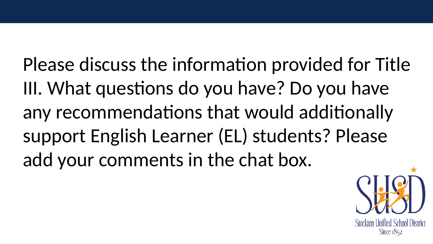Please discuss the information provided for Title III. What questions do you have? Do you have any recommendations that would additionally support English Learner (EL) students? Please add your comments in the chat box.

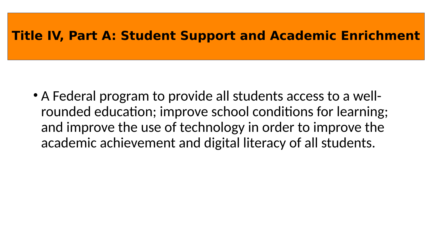#### **Title IV, Part A: Student Support and Academic Enrichment**

• A Federal program to provide all students access to a wellrounded education; improve school conditions for learning; and improve the use of technology in order to improve the academic achievement and digital literacy of all students.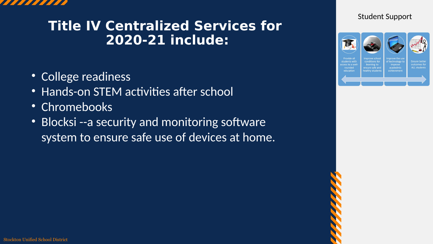

### **Title IV Centralized Services for 2020-21 include:**

- College readiness
- Hands-on STEM activities after school
- Chromebooks
- Blocksi --a security and monitoring software system to ensure safe use of devices at home.



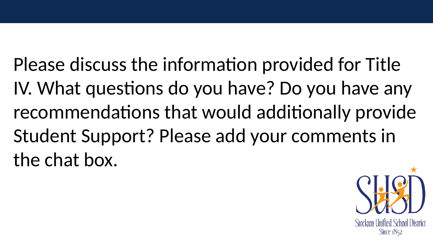Please discuss the information provided for Title IV. What questions do you have? Do you have any recommendations that would additionally provide Student Support? Please add your comments in the chat box.